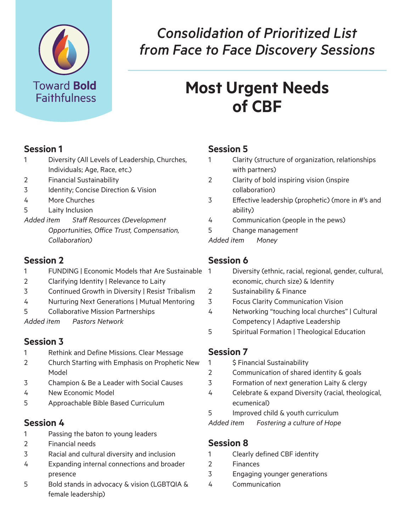

## *Consolidation of Prioritized List from Face to Face Discovery Sessions*

# **Most Urgent Needs of CBF**

## **Session 1**

- 1 Diversity (All Levels of Leadership, Churches, Individuals; Age, Race, etc.)
- 2 Financial Sustainability
- 3 Identity; Concise Direction & Vision
- 4 More Churches
- 5 Laity Inclusion

*Added item Staff Resources (Development* 

*Opportunities, Office Trust, Compensation, Collaboration)*

#### **Session 2**

- 1 FUNDING | Economic Models that Are Sustainable
- 2 Clarifying Identity | Relevance to Laity
- 3 Continued Growth in Diversity | Resist Tribalism
- 4 Nurturing Next Generations | Mutual Mentoring
- 5 Collaborative Mission Partnerships

*Added item Pastors Network* 

#### **Session 3**

- 1 Rethink and Define Missions. Clear Message
- 2 Church Starting with Emphasis on Prophetic New Model
- 3 Champion & Be a Leader with Social Causes
- 4 New Economic Model
- 5 Approachable Bible Based Curriculum

#### **Session 4**

- 1 Passing the baton to young leaders
- 2 Financial needs
- 3 Racial and cultural diversity and inclusion
- 4 Expanding internal connections and broader presence
- 5 Bold stands in advocacy & vision (LGBTQIA & female leadership)

## **Session 5**

- 1 Clarity (structure of organization, relationships with partners)
- 2 Clarity of bold inspiring vision (inspire collaboration)
- 3 Effective leadership (prophetic) (more in #'s and ability)
- 4 Communication (people in the pews)
- 5 Change management

*Added item Money* 

## **Session 6**

- Diversity (ethnic, racial, regional, gender, cultural, economic, church size) & Identity
- 2 Sustainability & Finance
- 3 Focus Clarity Communication Vision
- 4 Networking "touching local churches" | Cultural Competency | Adaptive Leadership
- 5 Spiritual Formation | Theological Education

## **Session 7**

- 1 \$ Financial Sustainability
- 2 Communication of shared identity & goals
- 3 Formation of next generation Laity & clergy
- 4 Celebrate & expand Diversity (racial, theological, ecumenical)
- 5 Improved child & youth curriculum

*Added item Fostering a culture of Hope* 

#### **Session 8**

- 1 Clearly defined CBF identity
- 2 Finances
- 3 Engaging younger generations
- 4 Communication